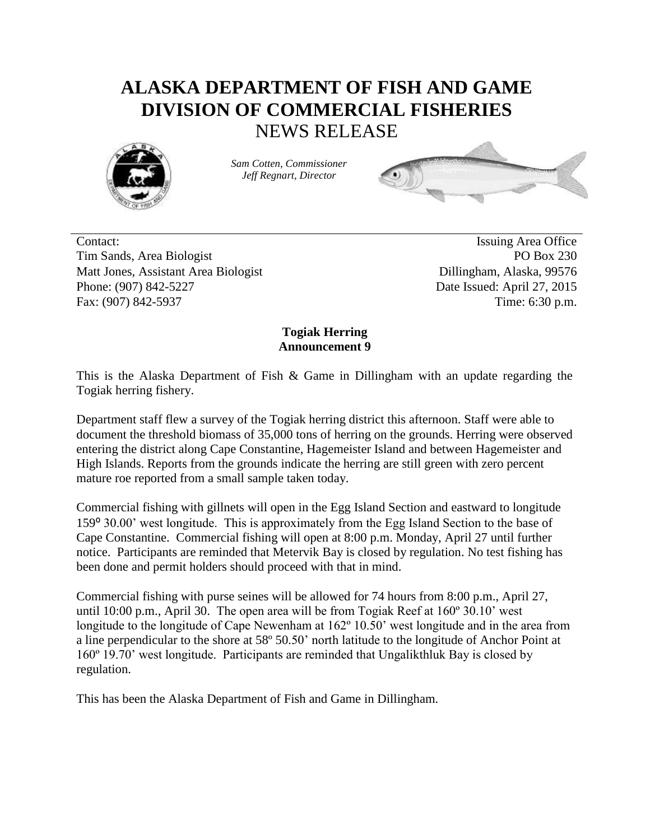## **ALASKA DEPARTMENT OF FISH AND GAME DIVISION OF COMMERCIAL FISHERIES** NEWS RELEASE



*Sam Cotten, Commissioner Jeff Regnart, Director*



Contact: Issuing Area Office Tim Sands, Area Biologist PO Box 230 Matt Jones, Assistant Area Biologist **Dillingham, Alaska, 99576** Phone: (907) 842-5227 Date Issued: April 27, 2015 Fax: (907) 842-5937 Time: 6:30 p.m.

## **Togiak Herring Announcement 9**

This is the Alaska Department of Fish & Game in Dillingham with an update regarding the Togiak herring fishery.

Department staff flew a survey of the Togiak herring district this afternoon. Staff were able to document the threshold biomass of 35,000 tons of herring on the grounds. Herring were observed entering the district along Cape Constantine, Hagemeister Island and between Hagemeister and High Islands. Reports from the grounds indicate the herring are still green with zero percent mature roe reported from a small sample taken today.

Commercial fishing with gillnets will open in the Egg Island Section and eastward to longitude 159⁰ 30.00' west longitude. This is approximately from the Egg Island Section to the base of Cape Constantine. Commercial fishing will open at 8:00 p.m. Monday, April 27 until further notice. Participants are reminded that Metervik Bay is closed by regulation. No test fishing has been done and permit holders should proceed with that in mind.

Commercial fishing with purse seines will be allowed for 74 hours from 8:00 p.m., April 27, until 10:00 p.m., April 30. The open area will be from Togiak Reef at 160º 30.10' west longitude to the longitude of Cape Newenham at 162º 10.50' west longitude and in the area from a line perpendicular to the shore at 58º 50.50' north latitude to the longitude of Anchor Point at 160º 19.70' west longitude. Participants are reminded that Ungalikthluk Bay is closed by regulation.

This has been the Alaska Department of Fish and Game in Dillingham.